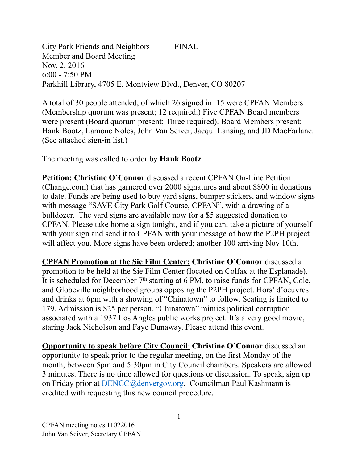City Park Friends and Neighbors FINAL Member and Board Meeting Nov. 2, 2016 6:00 - 7:50 PM Parkhill Library, 4705 E. Montview Blvd., Denver, CO 80207

A total of 30 people attended, of which 26 signed in: 15 were CPFAN Members (Membership quorum was present; 12 required.) Five CPFAN Board members were present (Board quorum present; Three required). Board Members present: Hank Bootz, Lamone Noles, John Van Sciver, Jacqui Lansing, and JD MacFarlane. (See attached sign-in list.)

The meeting was called to order by **Hank Bootz**.

**Petition: Christine O'Connor** discussed a recent CPFAN On-Line Petition (Change.com) that has garnered over 2000 signatures and about \$800 in donations to date. Funds are being used to buy yard signs, bumper stickers, and window signs with message "SAVE City Park Golf Course, CPFAN", with a drawing of a bulldozer. The yard signs are available now for a \$5 suggested donation to CPFAN. Please take home a sign tonight, and if you can, take a picture of yourself with your sign and send it to CPFAN with your message of how the P2PH project will affect you. More signs have been ordered; another 100 arriving Nov 10th.

**CPFAN Promotion at the Sie Film Center: Christine O'Connor** discussed a promotion to be held at the Sie Film Center (located on Colfax at the Esplanade). It is scheduled for December 7<sup>th</sup> starting at 6 PM, to raise funds for CPFAN, Cole, and Globeville neighborhood groups opposing the P2PH project. Hors' d'oeuvres and drinks at 6pm with a showing of "Chinatown" to follow. Seating is limited to 179. Admission is \$25 per person. "Chinatown" mimics political corruption associated with a 1937 Los Angles public works project. It's a very good movie, staring Jack Nicholson and Faye Dunaway. Please attend this event.

**Opportunity to speak before City Council**: **Christine O'Connor** discussed an opportunity to speak prior to the regular meeting, on the first Monday of the month, between 5pm and 5:30pm in City Council chambers. Speakers are allowed 3 minutes. There is no time allowed for questions or discussion. To speak, sign up on Friday prior at [DENCC@denvergov.org](mailto:DENCC@denvergov.org). Councilman Paul Kashmann is credited with requesting this new council procedure.